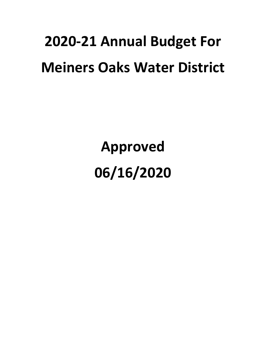# **2020-21 Annual Budget For Meiners Oaks Water District**

**Approved 06/16/2020**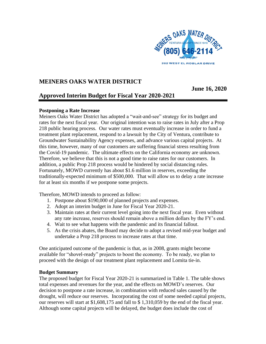

# **MEINERS OAKS WATER DISTRICT**

**June 16, 2020**

# **Approved Interim Budget for Fiscal Year 2020-2021**

# **Postponing a Rate Increase**

Meiners Oaks Water District has adopted a "wait-and-see" strategy for its budget and rates for the next fiscal year. Our original intention was to raise rates in July after a Prop 218 public hearing process. Our water rates must eventually increase in order to fund a treatment plant replacement, respond to a lawsuit by the City of Ventura, contribute to Groundwater Sustainability Agency expenses, and advance various capital projects. At this time, however, many of our customers are suffering financial stress resulting from the Covid-19 pandemic. The ultimate effects on the California economy are unknown. Therefore, we believe that this is not a good time to raise rates for our customers. In addition, a public Prop 218 process would be hindered by social distancing rules. Fortunately, MOWD currently has about \$1.6 million in reserves, exceeding the traditionally-expected minimum of \$500,000. That will allow us to delay a rate increase for at least six months if we postpone some projects.

Therefore, MOWD intends to proceed as follow:

- 1. Postpone about \$190,000 of planned projects and expenses.
- 2. Adopt an interim budget in June for Fiscal Year 2020-21.
- 3. Maintain rates at their current level going into the next fiscal year. Even without any rate increase, reserves should remain above a million dollars by the FY's end.
- 4. Wait to see what happens with the pandemic and its financial fallout.
- 5. As the crisis abates, the Board may decide to adopt a revised mid-year budget and undertake a Prop 218 process to increase rates at that time.

One anticipated outcome of the pandemic is that, as in 2008, grants might become available for "shovel-ready" projects to boost the economy. To be ready, we plan to proceed with the design of our treatment plant replacement and Lomita tie-in.

# **Budget Summary**

The proposed budget for Fiscal Year 2020-21 is summarized in Table 1. The table shows total expenses and revenues for the year, and the effects on MOWD's reserves. Our decision to postpone a rate increase, in combination with reduced sales caused by the drought, will reduce our reserves. Incorporating the cost of some needed capital projects, our reserves will start at \$1,608,175 and fall to \$ 1,310,059 by the end of the fiscal year. Although some capital projects will be delayed, the budget does include the cost of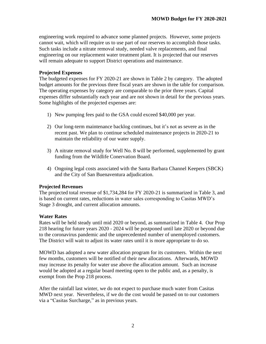engineering work required to advance some planned projects. However, some projects cannot wait, which will require us to use part of our reserves to accomplish those tasks. Such tasks include a nitrate removal study, needed valve replacements, and final engineering on our replacement water treatment plant. It is projected that our reserves will remain adequate to support District operations and maintenance.

### **Projected Expenses**

The budgeted expenses for FY 2020-21 are shown in Table 2 by category. The adopted budget amounts for the previous three fiscal years are shown in the table for comparison. The operating expenses by category are comparable to the prior three years. Capital expenses differ substantially each year and are not shown in detail for the previous years. Some highlights of the projected expenses are:

- 1) New pumping fees paid to the GSA could exceed \$40,000 per year.
- 2) Our long-term maintenance backlog continues, but it's not as severe as in the recent past. We plan to continue scheduled maintenance projects in 2020-21 to maintain the reliability of our water supply.
- 3) A nitrate removal study for Well No. 8 will be performed, supplemented by grant funding from the Wildlife Conervation Board.
- 4) Ongoing legal costs associated with the Santa Barbara Channel Keepers (SBCK) and the City of San Buenaventura adjudication.

### **Projected Revenues**

The projected total revenue of \$1,734,284 for FY 2020-21 is summarized in Table 3, and is based on current rates, reductions in water sales corresponding to Casitas MWD's Stage 3 drought, and current allocation amounts.

### **Water Rates**

Rates will be held steady until mid 2020 or beyond, as summarized in Table 4. Our Prop 218 hearing for future years 2020 - 2024 will be postponed until late 2020 or beyond due to the coronavirus pandemic and the unprecedented number of unemployed customers. The District will wait to adjust its water rates until it is more appropriate to do so.

MOWD has adopted a new water allocation program for its customers. Within the next few months, customers will be notified of their new allocations. Afterwards, MOWD may increase its penalty for water use above the allocation amount. Such an increase would be adopted at a regular board meeting open to the public and, as a penalty, is exempt from the Prop 218 process.

After the rainfall last winter, we do not expect to purchase much water from Casitas MWD next year. Nevertheless, if we do the cost would be passed on to our customers via a "Casitas Surcharge," as in previous years.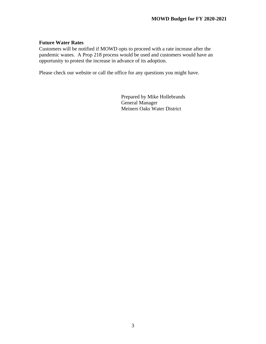## **Future Water Rates**

Customers will be notified if MOWD opts to proceed with a rate increase after the pandemic wanes. A Prop 218 process would be used and customers would have an opportunity to protest the increase in advance of its adoption.

Please check our website or call the office for any questions you might have.

Prepared by Mike Hollebrands General Manager Meiners Oaks Water District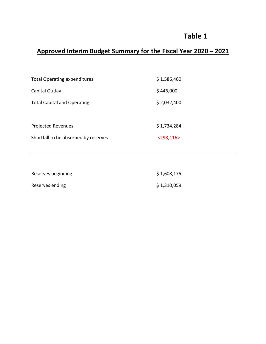# **Table 1**

# **Approved Interim Budget Summary for the Fiscal Year 2020 – 2021**

| <b>Total Operating expenditures</b>  | \$1,586,400     |
|--------------------------------------|-----------------|
| Capital Outlay                       | \$446,000       |
| <b>Total Capital and Operating</b>   | \$2,032,400     |
|                                      |                 |
| <b>Projected Revenues</b>            | \$1,734,284     |
| Shortfall to be absorbed by reserves | $<$ 298,116 $>$ |

| Reserves beginning | \$1,608,175 |
|--------------------|-------------|
| Reserves ending    | \$1,310,059 |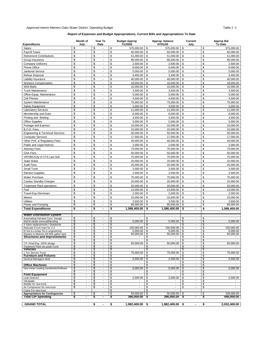### Approved interim Meiners Oaks Water District Operating Budget **Table 2 -1** Table 2 -1

### **Report of Expenses and Budget Appropriations, Current Bills and Appropriations To Date**

| <b>Expenditures</b>                                                  | Month of<br>July                                      | Year To<br>Date                                           | <b>Budget Approp</b><br>7/1/2020    | Approp. balance<br>07/01/20                 | Current<br>July                                                    | <b>Approp Bal</b><br><b>To Date</b> |
|----------------------------------------------------------------------|-------------------------------------------------------|-----------------------------------------------------------|-------------------------------------|---------------------------------------------|--------------------------------------------------------------------|-------------------------------------|
| Salary                                                               | \$                                                    | \$                                                        | \$<br>575,000.00                    | \$<br>575,000.00                            | \$<br>\$                                                           | 575,000.00                          |
| <b>Payroll Taxes</b>                                                 | \$<br>÷,                                              | \$<br>$\overline{\phantom{a}}$                            | \$<br>60,000.00                     | \$<br>60,000.00                             | \$<br>\$                                                           | 60,000.00                           |
| <b>Retirement Contributions</b>                                      | \$<br>÷,                                              | \$                                                        | \$<br>51,000.00                     | \$<br>51,000.00                             | \$<br>\$<br>$\overline{\phantom{a}}$                               | 51,000.00                           |
| Group Insurance                                                      | \$<br>$\overline{a}$                                  | \$<br>$\overline{\phantom{a}}$                            | \$<br>86,000.00                     | \$<br>86,000.00                             | \$<br>\$<br>$\overline{\phantom{a}}$                               | 86,000.00                           |
| <b>Company Uniforms</b>                                              | \$<br>$\overline{a}$                                  | \$<br>$\overline{a}$                                      | \$<br>2,500.00                      | \$<br>2,500.00                              | \$<br>\$<br>$\blacksquare$                                         | 2,500.00                            |
| Phone Office                                                         | \$<br>$\overline{a}$                                  | \$<br>÷                                                   | \$<br>9,000.00                      | \$<br>9,000.00                              | \$<br>\$<br>$\blacksquare$                                         | 9,000.00                            |
| Janitorial Service                                                   | \$<br>÷.                                              | \$<br>$\overline{\phantom{a}}$                            | \$<br>5,000.00                      | \$<br>5,000.00                              | \$<br>\$<br>$\blacksquare$                                         | 5,000.00                            |
| <b>Refuse Disposal</b>                                               | \$<br>$\blacksquare$                                  | \$<br>$\omega$                                            | \$<br>3,400.00                      | \$<br>3,400.00                              | \$<br>\$<br>$\mathbf{r}$                                           | 3,400.00                            |
| Liability Insurance                                                  | \$<br>$\blacksquare$<br>\$<br>$\tilde{\phantom{a}}$   | \$<br>$\omega$<br>\$<br>$\overline{a}$                    | \$<br>40,000.00                     | \$<br>40,000.00                             | \$<br>\$<br>$\mathbf{r}$                                           | 40,000.00                           |
| <b>Workers Compensation</b><br>Well Maint.                           | \$<br>$\mathbf{r}$                                    | \$<br>$\overline{\phantom{a}}$                            | \$<br>18,000.00<br>\$<br>10,000.00  | \$<br>18.000.00<br>\$<br>10,000.00          | \$<br>\$<br>$\blacksquare$<br>\$<br>\$<br>$\overline{\phantom{a}}$ | 18,000.00<br>10,000.00              |
| <b>Truck Maintenance</b>                                             | \$<br>ä,                                              | \$<br>ä,                                                  | \$<br>3,500.00                      | \$<br>3,500.00                              | \$<br>\$<br>$\overline{\phantom{a}}$                               | 3,500.00                            |
| Office Equip. Maintenance                                            | \$<br>$\omega$                                        | \$<br>$\omega$                                            | \$<br>5.000.00                      | \$<br>5.000.00                              | \$<br>\$<br>$\overline{\phantom{a}}$                               | 5,000.00                            |
| Cell Phones                                                          | \$<br>$\mathbf{r}$                                    | \$<br>$\sim$                                              | \$<br>4,500.00                      | \$<br>4,500.00                              | \$<br>\$                                                           | 4,500.00                            |
| System Maintenance                                                   | \$<br>$\blacksquare$                                  | \$<br>$\blacksquare$                                      | \$<br>75,000.00                     | \$<br>75,000.00                             | \$<br>\$<br>$\mathbf{r}$                                           | 75,000.00                           |
| Safety Equipment                                                     | \$<br>$\mathbf{r}$                                    | \$<br>$\sim$                                              | \$<br>3,000.00                      | \$<br>3,000.00                              | \$<br>\$<br>$\blacksquare$                                         | 3,000.00                            |
| <b>Laboratory Services</b>                                           | \$<br>$\sim$                                          | \$<br>$\omega$                                            | \$<br>11,000.00                     | \$<br>11,000.00                             | \$<br>\$<br>$\mathbf{r}$                                           | 11,000.00                           |
| Membership and Dues                                                  | \$<br>$\sim$                                          | \$<br>$\overline{a}$                                      | \$<br>8,000.00                      | \$<br>8,000.00                              | \$<br>\$<br>$\overline{\phantom{a}}$                               | 8,000.00                            |
| Printing and Binding                                                 | \$<br>$\blacksquare$                                  | \$<br>$\blacksquare$                                      | \$<br>3,500.00                      | \$<br>3,500.00                              | \$<br>\$<br>$\blacksquare$                                         | 3,500.00                            |
| <b>Office Supplies</b>                                               | \$<br>$\overline{\phantom{a}}$                        | \$<br>$\overline{\phantom{a}}$                            | \$<br>5,000.00                      | \$<br>5,000.00                              | \$<br>\$<br>$\blacksquare$                                         | 5,000.00                            |
| Postage and Express                                                  | \$<br>$\blacksquare$                                  | \$<br>$\blacksquare$                                      | \$<br>10,000.00                     | \$<br>10,000.00                             | \$<br>\$<br>$\blacksquare$                                         | 10,000.00                           |
| B.O.D. Fees                                                          | \$<br>$\blacksquare$                                  | \$<br>$\blacksquare$                                      | \$<br>15,000.00                     | \$<br>15,000.00                             | \$<br>\$<br>$\overline{\phantom{a}}$                               | 15,000.00                           |
| <b>Engineering &amp; Technical Services</b>                          | \$<br>$\overline{\phantom{a}}$                        | \$<br>$\blacksquare$                                      | \$<br>50,000.00                     | \$<br>50,000.00                             | \$<br>\$<br>$\overline{\phantom{a}}$                               | 50,000.00                           |
| <b>Computer Services</b>                                             | \$<br>$\blacksquare$                                  | \$<br>$\blacksquare$                                      | \$<br>17,000.00                     | \$<br>17,000.00                             | \$<br>\$<br>$\overline{\phantom{a}}$                               | 17,000.00                           |
| Other Prof. & Regulatory Fees                                        | \$<br>ä,                                              | \$<br>$\blacksquare$                                      | \$<br>40,000.00                     | \$<br>40.000.00                             | \$<br>\$<br>$\blacksquare$                                         | 40,000.00                           |
| Public and Legal Notices                                             | \$<br>ä,                                              | \$<br>ä,                                                  | \$<br>2.000.00                      | \$<br>2.000.00                              | \$<br>\$<br>$\overline{\phantom{a}}$                               | 2,000.00                            |
| <b>Attorney Fees</b>                                                 | \$<br>$\blacksquare$                                  | \$<br>$\overline{\phantom{a}}$                            | \$<br>75,000.00                     | \$<br>75,000.00                             | \$<br>\$<br>$\blacksquare$                                         | 75,000.00                           |
| <b>GSA Fees</b>                                                      | \$<br>$\blacksquare$                                  | \$<br>$\overline{a}$                                      | \$<br>50,000.00                     | \$<br>50,000.00                             | \$<br>\$<br>$\blacksquare$                                         | 50,000.00                           |
| VR/SBC/City of VTA Law Suit                                          | \$<br>$\blacksquare$                                  | \$<br>$\blacksquare$                                      | \$<br>75.000.00                     | \$<br>75,000.00                             | \$<br>\$<br>$\blacksquare$                                         | 75,000.00                           |
| <b>State Water</b>                                                   | \$<br>ä,                                              | \$                                                        | \$<br>20,000.00                     | \$<br>20,000.00                             | \$<br>\$                                                           | 20,000.00                           |
| <b>Audit Fees</b>                                                    | \$<br>$\mathbf{r}$                                    | \$<br>$\blacksquare$                                      | \$<br>25,000.00                     | \$<br>25,000.00                             | \$<br>\$<br>$\overline{\phantom{a}}$                               | 25,000.00                           |
| Small Tools                                                          | \$<br>ä,                                              | \$<br>$\overline{\phantom{a}}$                            | \$<br>3,000.00                      | \$<br>3,000.00                              | \$<br>\$                                                           | 3,000.00                            |
| <b>Election Supplies</b>                                             | \$<br>$\overline{a}$                                  | \$<br>$\overline{\phantom{a}}$                            | \$<br>2,500.00                      | \$<br>2,500.00                              | \$<br>\$<br>$\overline{\phantom{a}}$                               | 2,500.00                            |
| <b>Water Purchase</b>                                                | \$<br>ä,                                              | \$<br>$\overline{\phantom{a}}$                            | \$<br>75,000.00                     | \$<br>75,000.00                             | \$<br>\$<br>$\overline{\phantom{a}}$                               | 75,000.00                           |
| <b>Casitas Standby Charges</b>                                       | \$<br>$\blacksquare$                                  | \$<br>$\blacksquare$                                      | \$<br>20,000.00                     | \$<br>20,000.00                             | \$<br>\$<br>$\overline{\phantom{a}}$                               | 20,000.00                           |
| <b>Treatment Plant operations</b>                                    | \$<br>$\blacksquare$                                  | \$<br>$\blacksquare$                                      | \$<br>20,000.00                     | \$<br>20,000.00                             | \$<br>\$<br>$\blacksquare$                                         | 20,000.00                           |
| Fuel                                                                 | \$<br>$\mathbf{r}$                                    | \$<br>÷.                                                  | \$<br>13,000.00                     | \$<br>13,000.00                             | \$<br>\$<br>$\mathbf{r}$                                           | 13,000.00                           |
| <b>Travel Exp./Seminars</b>                                          | \$<br>$\omega$                                        | \$<br>$\omega$                                            | \$<br>2,000.00                      | \$<br>2,000.00                              | \$<br>\$<br>$\blacksquare$                                         | 2,000.00                            |
| Meters                                                               | \$<br>$\mathbf{r}$                                    | \$<br>÷.                                                  | \$<br>10,000.00                     | \$<br>10,000.00                             | \$<br>\$<br>$\blacksquare$                                         | 10,000.00                           |
| <b>Utilities</b>                                                     | \$<br>$\omega$                                        | \$<br>$\blacksquare$                                      | \$<br>3,500.00                      | \$<br>3,500.00                              | \$<br>\$<br>$\overline{\phantom{a}}$                               | 3,500.00                            |
| Power and Pumping                                                    | \$                                                    | \$                                                        | \$<br>80,000.00                     | \$<br>80,000.00                             | \$<br>\$                                                           | 80,000.00                           |
| <b>Total Expenditures</b>                                            | \$<br>$\blacksquare$                                  | \$<br>$\blacksquare$                                      | \$<br>1,586,400.00                  | \$<br>1,586,400.00                          | \$<br>\$<br>$\blacksquare$                                         | 1,586,400.00                        |
| <b>Water Distribution System</b>                                     |                                                       |                                                           |                                     |                                             |                                                                    |                                     |
| Automating Fairview Conn. Design                                     | S<br>$\blacksquare$                                   | $\overline{\phantom{a}}$                                  | \$                                  | \$                                          | \$<br>S<br>$\blacksquare$                                          |                                     |
| Well 8 nitrate removal/blending                                      | -\$<br>$\sim$<br>S<br>$\blacksquare$                  | S<br>$\overline{\phantom{a}}$<br>S<br>$\blacksquare$      | S,<br>5,000.00<br>\$                | \$<br>5,000.00                              | \$<br>S<br>$\blacksquare$<br>$\blacksquare$                        | 5.000.00                            |
| 4 Valve replacements / Deadends<br>Relocate 6 inch main for Z-2      | \$<br>$\blacksquare$                                  | \$<br>$\overline{\phantom{a}}$                            | \$<br>150,000.00                    | S<br>\$<br>150,000.00                       | \$<br>S<br>\$<br>\$<br>$\overline{\phantom{a}}$                    | 150,000.00                          |
| El Sol to Lomita Tie-in engineering                                  | \$<br>$\overline{a}$                                  | \$<br>$\blacksquare$                                      | \$<br>5,000.00                      | \$<br>5,000.00                              | \$<br>\$                                                           | 5,000.00                            |
| Repairs to Meiners Rd 80K gallon tank                                | \$<br>$\sim$                                          | \$<br>$\sim$                                              | \$<br>$50,000.00$ \ \$              | 50,000.00                                   | - \$<br>-\$                                                        | 50,000.00                           |
| <b>Structures and Improvements</b>                                   | S<br>S<br>$\blacksquare$                              | S<br>\$<br>$\blacksquare$                                 | S,<br>\$<br>$\sim$                  | \$<br>\$<br>$\overline{\phantom{a}}$        | \$<br>S<br>$\sim$<br>\$<br>S<br>$\blacksquare$                     | $\sim$                              |
| T.P. Final Eng. 100% design                                          | \$<br>$\mathbf{r}$                                    | \$<br>$\overline{\phantom{a}}$                            | \$<br>50,000.00                     | \$<br>50,000.00                             | \$<br>\$<br>$\sim$                                                 | 50,000.00                           |
| Treatment Plant set-aside Fund                                       | \$<br>$\overline{\phantom{a}}$                        | \$<br>$\blacksquare$                                      | \$                                  | \$                                          | \$<br>\$<br>$\sim$                                                 |                                     |
| <b>Vehicles</b><br>1 Ton Service Truck                               | S<br>$\sim$<br>\$<br>$\blacksquare$                   | S.<br>$\sim$<br>S                                         | \$<br>S<br>75,000.00                | \$<br>$\overline{\mathcal{E}}$<br>75,000.00 | \$<br>\$<br>$\sim$<br>S<br>S                                       |                                     |
| <b>Furniture and Fixtures</b>                                        | \$<br>$\blacksquare$                                  | $\overline{\phantom{a}}$<br>S<br>$\overline{\phantom{a}}$ | \$                                  | \$                                          | \$<br>\$<br>$\sim$                                                 | 75,000.00                           |
| General Managers desk                                                | \$<br>$\blacksquare$                                  | \$<br>$\omega$                                            | 2,500.00<br>\$                      | \$<br>2,500.00                              | \$<br>\$<br>$\mathbf{r}$                                           | 2,500.00                            |
|                                                                      | \$<br>$\blacksquare$                                  | \$<br>$\blacksquare$                                      | \$<br>$\overline{\phantom{a}}$      | \$                                          | \$<br>\$<br>$\sim$                                                 | $\overline{\phantom{a}}$            |
| <b>Office Machines</b><br>New meter reading handhelds/Software       | S<br>$\blacksquare$<br>\$<br>$\overline{\phantom{a}}$ | æ.<br>$\sim$<br>\$                                        | \$<br>S<br>6,000.00                 | \$<br>$\overline{\mathcal{E}}$<br>6,000.00  | \$<br>$\sim$<br>S<br>\$<br>S                                       | 6,000.00                            |
|                                                                      | S<br>$\blacksquare$                                   | S<br>$\blacksquare$                                       | \$                                  | \$                                          | \$<br>\$<br>$\overline{\phantom{a}}$                               |                                     |
| <b>Field Equipment</b>                                               | \$<br>$\mathbf{r}$                                    | \$<br>$\mathbf{r}$                                        | \$                                  | \$                                          | \$<br>$\mathbf{r}$<br>\$                                           |                                     |
| Leak Detector                                                        | \$<br>$\blacksquare$<br>$\blacksquare$                | \$<br>$\blacksquare$<br>$\mathbf{r}$                      | \$<br>2,500.00                      | \$<br>2,500.00                              | \$<br>\$<br>$\blacksquare$<br>$\blacksquare$                       | 2,500.00                            |
| Vibraplate<br>Welder for new truck                                   | \$<br>S<br>$\blacksquare$                             | S<br>$\blacksquare$                                       | \$<br>S<br>$\overline{\phantom{a}}$ | \$<br>S                                     | \$<br>\$<br>$\sqrt{2}$<br>\$                                       | $\sim$                              |
| Air Compressor for new truck                                         | \$<br>$\blacksquare$                                  | \$<br>$\sim$                                              | \$<br>$\overline{\phantom{a}}$      | \$<br>$\overline{\phantom{a}}$              | \$<br>\$<br>$\blacksquare$                                         | $\sim$                              |
| Crane For new truck                                                  |                                                       |                                                           | \$                                  | \$                                          |                                                                    |                                     |
| <b>Appropriations for Contingencies</b><br><b>Total CIP Spending</b> | \$<br>$\overline{a}$<br>\$<br>$\blacksquare$          | \$<br>$\blacksquare$<br>$\blacksquare$                    | \$<br>50,000.00<br>396,000.00<br>\$ | \$<br>50,000.00<br>396,000.00               | \$<br>l \$<br>$\overline{\phantom{a}}$<br>S<br>7<br>$\sim$         | 100,000.00<br>446,000.00            |
|                                                                      |                                                       |                                                           |                                     |                                             |                                                                    |                                     |
| <b>GRAND TOTAL</b>                                                   |                                                       | \$                                                        | \$<br>1,982,400.00                  | \$<br>1,982,400.00                          | \$<br>\$                                                           | 2,032,400.00                        |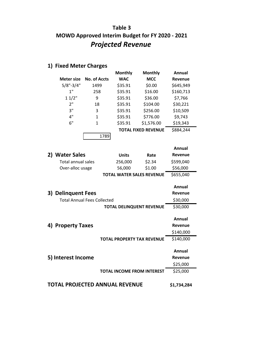# **Table 3 MOWD Approved Interim Budget for FY 2020 - 2021** *Projected Revenue*

|               |              | <b>Monthly</b> | <b>Monthly</b>             | Annual    |  |
|---------------|--------------|----------------|----------------------------|-----------|--|
| Meter size    | No. of Accts | <b>WAC</b>     | <b>MCC</b>                 | Revenue   |  |
| $5/8" - 3/4"$ | 1499         | \$35.91        | \$0.00                     | \$645,949 |  |
| 1"            | 258          | \$35.91        | \$16.00                    | \$160,713 |  |
| 11/2"         | 9            | \$35.91        | \$36.00                    | \$7,766   |  |
| 2"            | 18           | \$35.91        | \$104.00                   | \$30,221  |  |
| 3"            | 3            | \$35.91        | \$256.00                   | \$10,509  |  |
| 4"            | 1            | \$35.91        | \$776.00                   | \$9,743   |  |
| 6"            | 1            | \$35.91        | \$1,576.00                 | \$19,343  |  |
|               |              |                | <b>TOTAL FIXED REVENUE</b> | \$884,244 |  |
|               | 1789         |                |                            |           |  |

# **1) Fixed Meter Charges**

|    |                                    |                                   |        | Annual         |
|----|------------------------------------|-----------------------------------|--------|----------------|
| 2) | <b>Water Sales</b>                 | <b>Units</b>                      | Rate   | <b>Revenue</b> |
|    | <b>Total annual sales</b>          | 256,000                           | \$2.34 | \$599,040      |
|    | Over-alloc usage                   | 56,000                            | \$1.00 | \$56,000       |
|    |                                    | <b>TOTAL WATER SALES REVENUE</b>  |        | \$655,040      |
|    |                                    |                                   |        |                |
|    |                                    |                                   |        | Annual         |
| 3) | <b>Delinquent Fees</b>             |                                   |        | Revenue        |
|    | <b>Total Annual Fees Collected</b> |                                   |        | \$30,000       |
|    |                                    | <b>TOTAL DELINQUENT REVENUE</b>   |        | \$30,000       |
|    |                                    |                                   |        |                |
|    |                                    |                                   |        | Annual         |
|    | 4) Property Taxes                  |                                   |        | Revenue        |
|    |                                    |                                   |        | \$140,000      |
|    |                                    | <b>TOTAL PROPERTY TAX REVENUE</b> |        | \$140,000      |
|    |                                    |                                   |        |                |
|    |                                    |                                   |        | Annual         |
|    | 5) Interest Income                 |                                   |        | <b>Revenue</b> |
|    |                                    |                                   |        | \$25,000       |
|    |                                    | <b>TOTAL INCOME FROM INTEREST</b> |        | \$25,000       |
|    |                                    |                                   |        |                |
|    | TOTAL PROJECTED ANNUAL REVENUE     |                                   |        | \$1,734,284    |